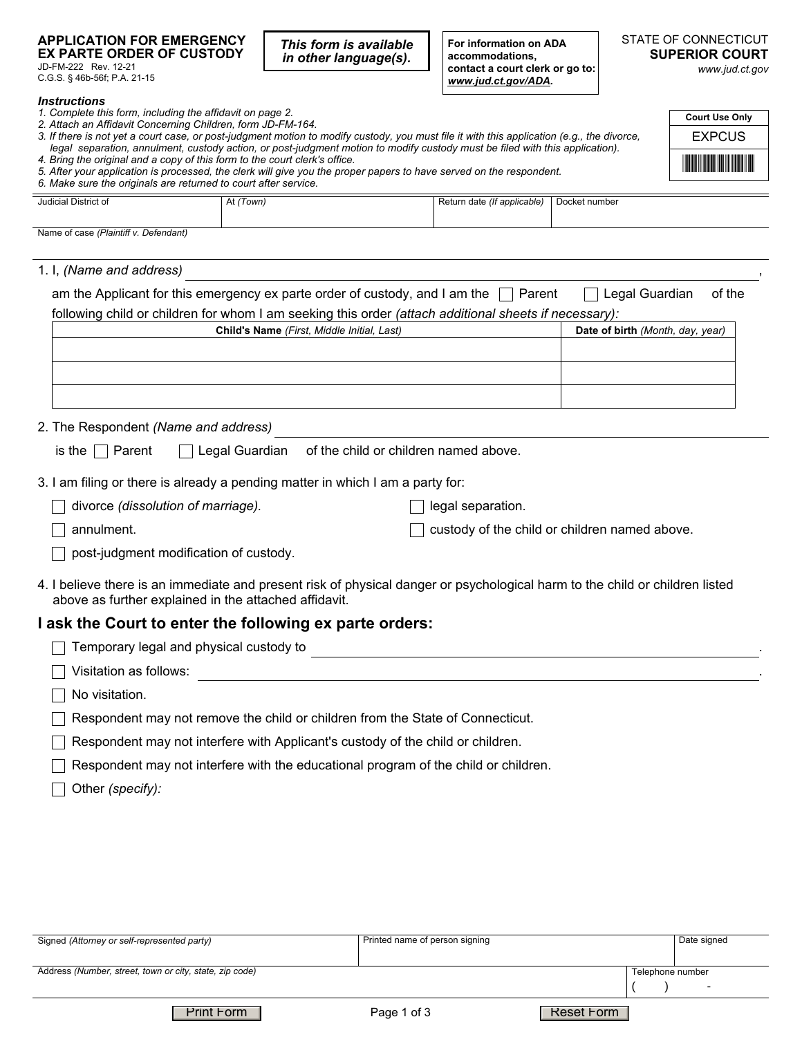## **APPLICATION FOR EMERGENCY EX PARTE ORDER OF CUSTODY**

JD-FM-222 Rev. 12-21 C.G.S. § 46b-56f; P.A. 21-15

**For information on ADA**  *This form is available in other language(s).*

**accommodations, contact a court clerk or go to:**  *www.jud.ct.gov/ADA.*

## STATE OF CONNECTICUT **SUPERIOR COURT**

*www.jud.ct.gov*

| <i><u><b>Instructions</b></u></i>                                                                                                                                                                          |                                                                                                                              |                                       |                                  |                                       |  |
|------------------------------------------------------------------------------------------------------------------------------------------------------------------------------------------------------------|------------------------------------------------------------------------------------------------------------------------------|---------------------------------------|----------------------------------|---------------------------------------|--|
| 1. Complete this form, including the affidavit on page 2.<br>2. Attach an Affidavit Concerning Children, form JD-FM-164.                                                                                   |                                                                                                                              |                                       |                                  | <b>Court Use Only</b>                 |  |
| 3. If there is not yet a court case, or post-judgment motion to modify custody, you must file it with this application (e.g., the divorce,                                                                 |                                                                                                                              |                                       |                                  | <b>EXPCUS</b>                         |  |
| legal separation, annulment, custody action, or post-judgment motion to modify custody must be filed with this application).<br>4. Bring the original and a copy of this form to the court clerk's office. |                                                                                                                              |                                       |                                  | <b>The Community of Second Second</b> |  |
| 6. Make sure the originals are returned to court after service.                                                                                                                                            | 5. After your application is processed, the clerk will give you the proper papers to have served on the respondent.          |                                       |                                  |                                       |  |
| Judicial District of                                                                                                                                                                                       | At (Town)                                                                                                                    | Return date (If applicable)           | Docket number                    |                                       |  |
| Name of case (Plaintiff v. Defendant)                                                                                                                                                                      |                                                                                                                              |                                       |                                  |                                       |  |
|                                                                                                                                                                                                            |                                                                                                                              |                                       |                                  |                                       |  |
| 1. I, (Name and address)                                                                                                                                                                                   |                                                                                                                              |                                       |                                  |                                       |  |
|                                                                                                                                                                                                            | am the Applicant for this emergency ex parte order of custody, and I am the $\Box$ Parent                                    |                                       | $\Box$ Legal Guardian            | of the                                |  |
|                                                                                                                                                                                                            | following child or children for whom I am seeking this order (attach additional sheets if necessary):                        |                                       |                                  |                                       |  |
|                                                                                                                                                                                                            | Child's Name (First, Middle Initial, Last)                                                                                   |                                       | Date of birth (Month, day, year) |                                       |  |
|                                                                                                                                                                                                            |                                                                                                                              |                                       |                                  |                                       |  |
|                                                                                                                                                                                                            |                                                                                                                              |                                       |                                  |                                       |  |
|                                                                                                                                                                                                            |                                                                                                                              |                                       |                                  |                                       |  |
| 2. The Respondent (Name and address)                                                                                                                                                                       |                                                                                                                              |                                       |                                  |                                       |  |
| is the $\Box$ Parent                                                                                                                                                                                       | Legal Guardian                                                                                                               | of the child or children named above. |                                  |                                       |  |
|                                                                                                                                                                                                            | 3. I am filing or there is already a pending matter in which I am a party for:                                               |                                       |                                  |                                       |  |
| divorce (dissolution of marriage).                                                                                                                                                                         |                                                                                                                              | legal separation.                     |                                  |                                       |  |
| annulment.                                                                                                                                                                                                 | custody of the child or children named above.                                                                                |                                       |                                  |                                       |  |
| post-judgment modification of custody.                                                                                                                                                                     |                                                                                                                              |                                       |                                  |                                       |  |
| above as further explained in the attached affidavit.                                                                                                                                                      | 4. I believe there is an immediate and present risk of physical danger or psychological harm to the child or children listed |                                       |                                  |                                       |  |
|                                                                                                                                                                                                            | I ask the Court to enter the following ex parte orders:                                                                      |                                       |                                  |                                       |  |
| Temporary legal and physical custody to                                                                                                                                                                    |                                                                                                                              |                                       |                                  |                                       |  |
| Visitation as follows:                                                                                                                                                                                     |                                                                                                                              |                                       |                                  |                                       |  |
| No visitation.                                                                                                                                                                                             |                                                                                                                              |                                       |                                  |                                       |  |
|                                                                                                                                                                                                            | Respondent may not remove the child or children from the State of Connecticut.                                               |                                       |                                  |                                       |  |
|                                                                                                                                                                                                            | Respondent may not interfere with Applicant's custody of the child or children.                                              |                                       |                                  |                                       |  |
|                                                                                                                                                                                                            | Respondent may not interfere with the educational program of the child or children.                                          |                                       |                                  |                                       |  |
| Other (specify):                                                                                                                                                                                           |                                                                                                                              |                                       |                                  |                                       |  |
|                                                                                                                                                                                                            |                                                                                                                              |                                       |                                  |                                       |  |
|                                                                                                                                                                                                            |                                                                                                                              |                                       |                                  |                                       |  |
|                                                                                                                                                                                                            |                                                                                                                              |                                       |                                  |                                       |  |
|                                                                                                                                                                                                            |                                                                                                                              |                                       |                                  |                                       |  |

| Signed (Attorney or self-represented party)             | Printed name of person signing |                  | Date signed              |
|---------------------------------------------------------|--------------------------------|------------------|--------------------------|
|                                                         |                                |                  |                          |
| Address (Number, street, town or city, state, zip code) |                                | Telephone number |                          |
|                                                         |                                |                  | $\overline{\phantom{0}}$ |
| <b>Print Form</b>                                       | Page 1 of 3                    | Reset Form       |                          |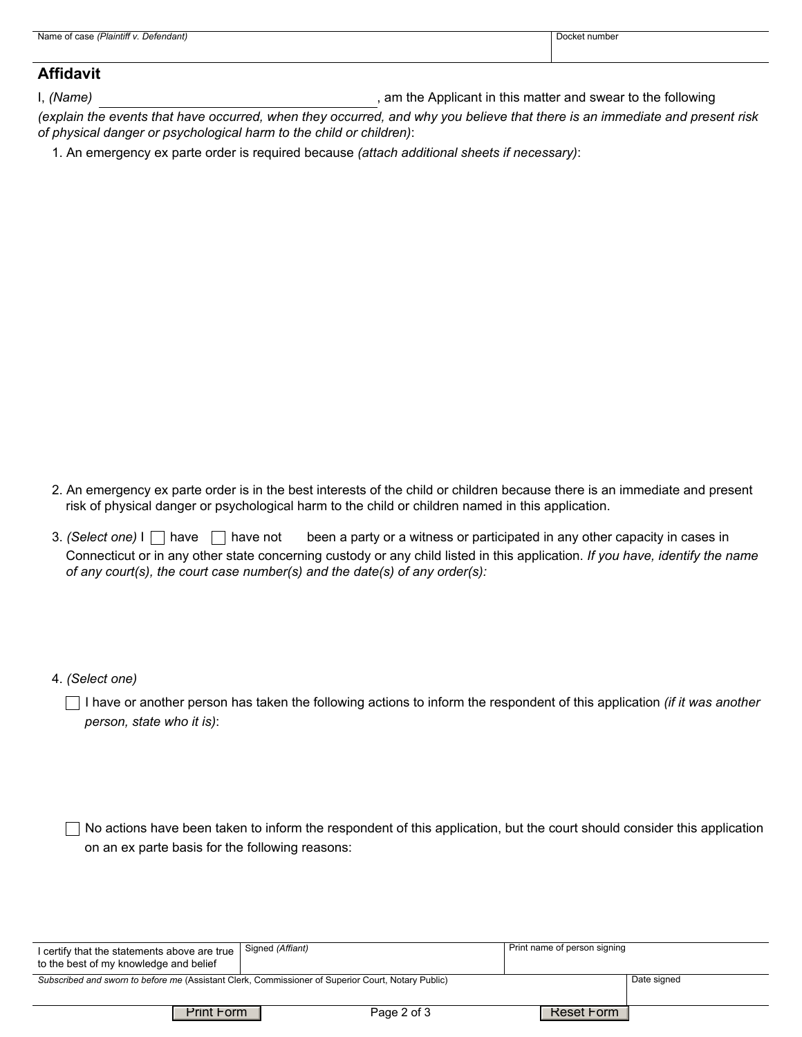| .<br>Name<br>Detendanti<br>таннш<br>0.755<br>. | number<br><b>OCKE</b> |
|------------------------------------------------|-----------------------|
|                                                |                       |

## **Affidavit**

I, *(Name)* **I**, *(Name) n*  $\blacksquare$  (*Name*) *n*  $\blacksquare$  (*Name*) *n*  $\blacksquare$  (*Name*) *n*  $\blacksquare$  (*Name*) *n*  $\blacksquare$  (*Name*) *n*  $\blacksquare$  (*Name*) *n*  $\blacksquare$  (*Name*) *n*  $\blacksquare$  (*Name*) *n*  $\blacksquare$  (*Name* 

*(explain the events that have occurred, when they occurred, and why you believe that there is an immediate and present risk of physical danger or psychological harm to the child or children)*:

1. An emergency ex parte order is required because *(attach additional sheets if necessary)*:

- 2. An emergency ex parte order is in the best interests of the child or children because there is an immediate and present risk of physical danger or psychological harm to the child or children named in this application.
- 3. *(Select one)* I have **h**ave not been a party or a witness or participated in any other capacity in cases in Connecticut or in any other state concerning custody or any child listed in this application. *If you have, identify the name of any court(s), the court case number(s) and the date(s) of any order(s):*

4. *(Select one)*

I have or another person has taken the following actions to inform the respondent of this application *(if it was another person, state who it is)*:

 $\Box$  No actions have been taken to inform the respondent of this application, but the court should consider this application on an ex parte basis for the following reasons:

| I certify that the statements above are true<br>to the best of my knowledge and belief             | Signed (Affiant) | Print name of person signing |  |
|----------------------------------------------------------------------------------------------------|------------------|------------------------------|--|
| Subscribed and sworn to before me (Assistant Clerk, Commissioner of Superior Court, Notary Public) | Date signed      |                              |  |
|                                                                                                    |                  |                              |  |
| <b>Print Form</b>                                                                                  | Page 2 of 3      | Reset Form                   |  |